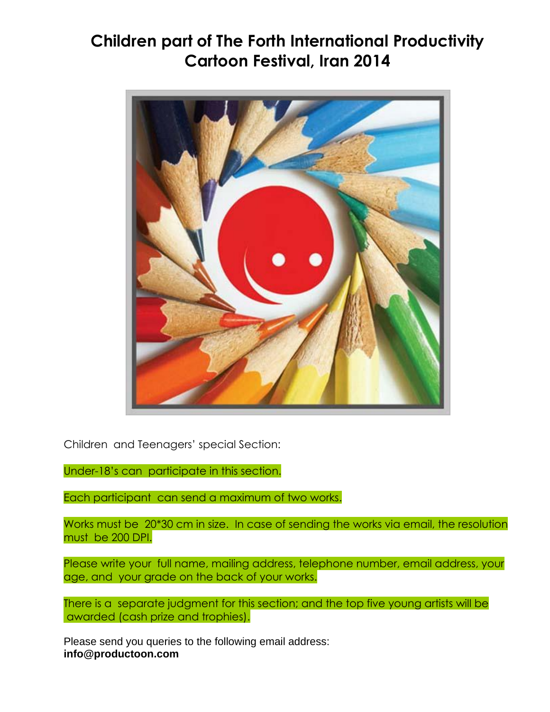## **[Children part of The Forth International](http://www.cwn-news.com/festival/2143-children-part-of-the-forth-international-productivity-cartoon-festival,-iran-2014) Productivity [Cartoon Festival, Iran 2014](http://www.cwn-news.com/festival/2143-children-part-of-the-forth-international-productivity-cartoon-festival,-iran-2014)**



Children and Teenagers' special Section:

Under-18's can participate in this section.

Each participant can send a maximum of two works.

Works must be 20\*30 cm in size. In case of sending the works via email, the resolution must be 200 DPI.

Please write your full name, mailing address, telephone number, email address, your age, and your grade on the back of your works.

There is a separate judgment for this section; and the top five young artists will be awarded (cash prize and trophies).

Please send you queries to the following email address: **[info@productoon.com](mailto:info@productoon.com)**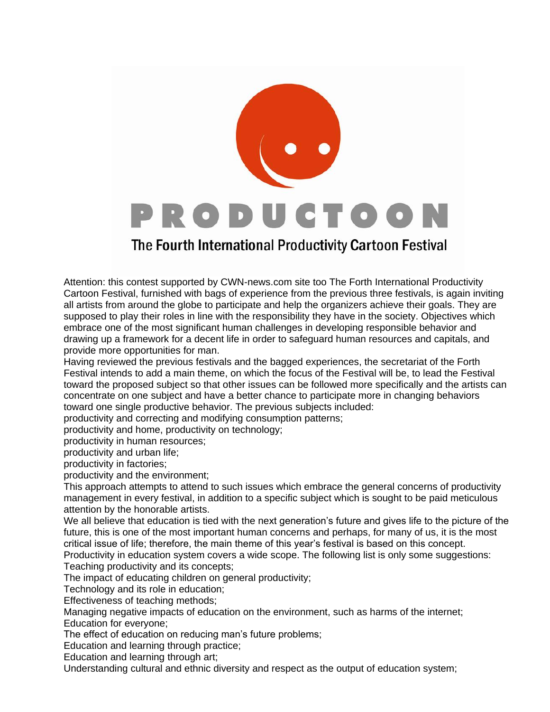

## The Fourth International Productivity Cartoon Festival

Attention: this contest supported by CWN-news.com site too The Forth International Productivity Cartoon Festival, furnished with bags of experience from the previous three festivals, is again inviting all artists from around the globe to participate and help the organizers achieve their goals. They are supposed to play their roles in line with the responsibility they have in the society. Objectives which embrace one of the most significant human challenges in developing responsible behavior and drawing up a framework for a decent life in order to safeguard human resources and capitals, and provide more opportunities for man.

Having reviewed the previous festivals and the bagged experiences, the secretariat of the Forth Festival intends to add a main theme, on which the focus of the Festival will be, to lead the Festival toward the proposed subject so that other issues can be followed more specifically and the artists can concentrate on one subject and have a better chance to participate more in changing behaviors toward one single productive behavior. The previous subjects included:

productivity and correcting and modifying consumption patterns;

productivity and home, productivity on technology;

productivity in human resources;

productivity and urban life;

productivity in factories;

productivity and the environment;

This approach attempts to attend to such issues which embrace the general concerns of productivity management in every festival, in addition to a specific subject which is sought to be paid meticulous attention by the honorable artists.

We all believe that education is tied with the next generation's future and gives life to the picture of the future, this is one of the most important human concerns and perhaps, for many of us, it is the most critical issue of life; therefore, the main theme of this year's festival is based on this concept.

Productivity in education system covers a wide scope. The following list is only some suggestions: Teaching productivity and its concepts;

The impact of educating children on general productivity;

Technology and its role in education;

Effectiveness of teaching methods;

Managing negative impacts of education on the environment, such as harms of the internet; Education for everyone;

The effect of education on reducing man's future problems;

Education and learning through practice;

Education and learning through art;

Understanding cultural and ethnic diversity and respect as the output of education system;